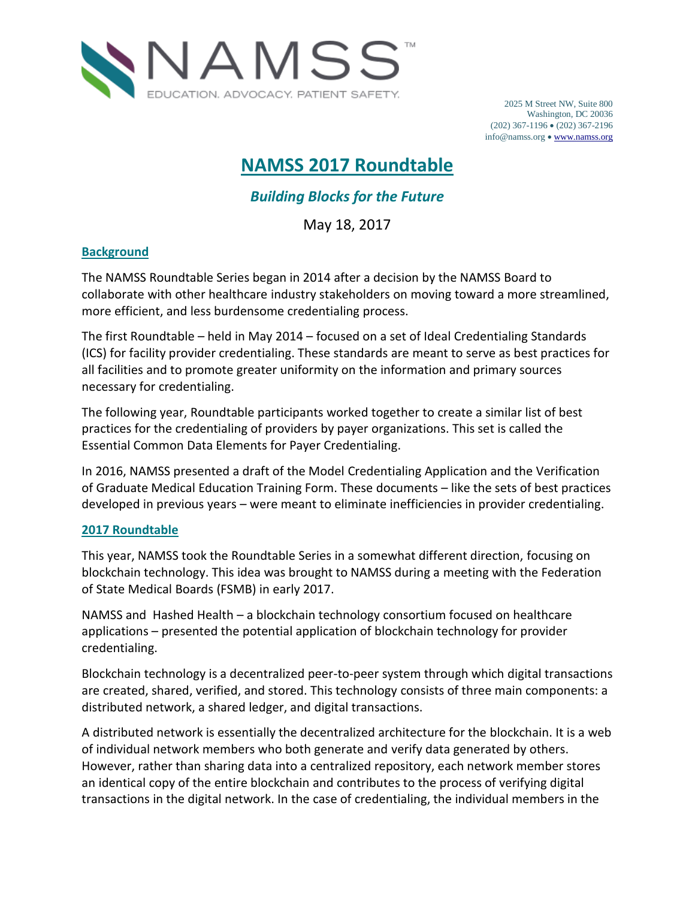

2025 M Street NW, Suite 800 Washington, DC 20036 (202) 367-1196 (202) 367-2196 info@namss.org [www.namss.org](http://www.namss.org/)

# **NAMSS 2017 Roundtable**

## *Building Blocks for the Future*

May 18, 2017

## **Background**

The NAMSS Roundtable Series began in 2014 after a decision by the NAMSS Board to collaborate with other healthcare industry stakeholders on moving toward a more streamlined, more efficient, and less burdensome credentialing process.

The first Roundtable – held in May 2014 – focused on a set of Ideal Credentialing Standards (ICS) for facility provider credentialing. These standards are meant to serve as best practices for all facilities and to promote greater uniformity on the information and primary sources necessary for credentialing.

The following year, Roundtable participants worked together to create a similar list of best practices for the credentialing of providers by payer organizations. This set is called the Essential Common Data Elements for Payer Credentialing.

In 2016, NAMSS presented a draft of the Model Credentialing Application and the Verification of Graduate Medical Education Training Form. These documents – like the sets of best practices developed in previous years – were meant to eliminate inefficiencies in provider credentialing.

## **2017 Roundtable**

This year, NAMSS took the Roundtable Series in a somewhat different direction, focusing on blockchain technology. This idea was brought to NAMSS during a meeting with the Federation of State Medical Boards (FSMB) in early 2017.

NAMSS and Hashed Health – a blockchain technology consortium focused on healthcare applications – presented the potential application of blockchain technology for provider credentialing.

Blockchain technology is a decentralized peer-to-peer system through which digital transactions are created, shared, verified, and stored. This technology consists of three main components: a distributed network, a shared ledger, and digital transactions.

A distributed network is essentially the decentralized architecture for the blockchain. It is a web of individual network members who both generate and verify data generated by others. However, rather than sharing data into a centralized repository, each network member stores an identical copy of the entire blockchain and contributes to the process of verifying digital transactions in the digital network. In the case of credentialing, the individual members in the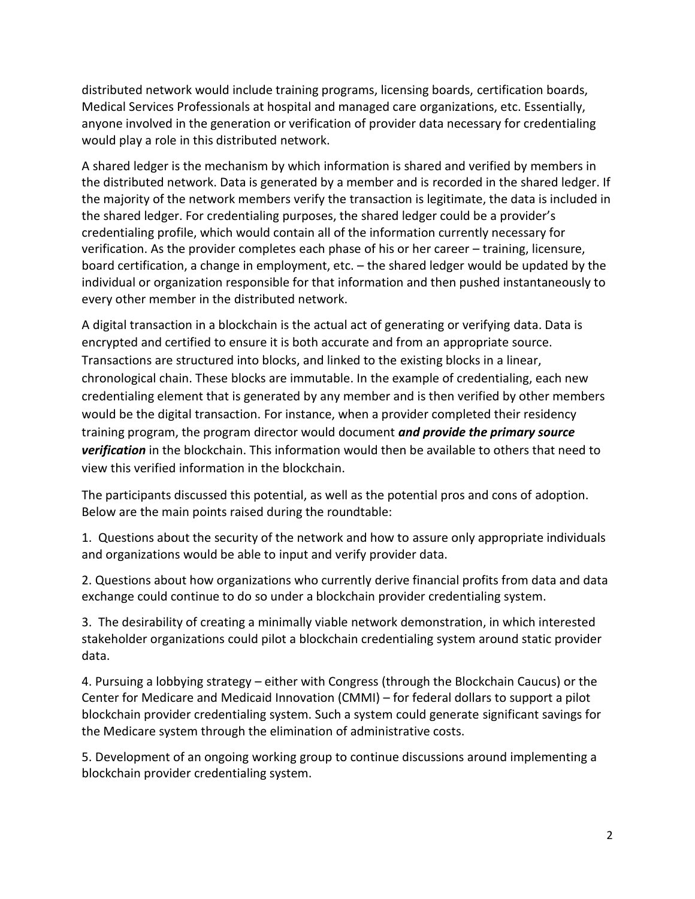distributed network would include training programs, licensing boards, certification boards, Medical Services Professionals at hospital and managed care organizations, etc. Essentially, anyone involved in the generation or verification of provider data necessary for credentialing would play a role in this distributed network.

A shared ledger is the mechanism by which information is shared and verified by members in the distributed network. Data is generated by a member and is recorded in the shared ledger. If the majority of the network members verify the transaction is legitimate, the data is included in the shared ledger. For credentialing purposes, the shared ledger could be a provider's credentialing profile, which would contain all of the information currently necessary for verification. As the provider completes each phase of his or her career – training, licensure, board certification, a change in employment, etc. – the shared ledger would be updated by the individual or organization responsible for that information and then pushed instantaneously to every other member in the distributed network.

A digital transaction in a blockchain is the actual act of generating or verifying data. Data is encrypted and certified to ensure it is both accurate and from an appropriate source. Transactions are structured into blocks, and linked to the existing blocks in a linear, chronological chain. These blocks are immutable. In the example of credentialing, each new credentialing element that is generated by any member and is then verified by other members would be the digital transaction. For instance, when a provider completed their residency training program, the program director would document *and provide the primary source verification* in the blockchain. This information would then be available to others that need to view this verified information in the blockchain.

The participants discussed this potential, as well as the potential pros and cons of adoption. Below are the main points raised during the roundtable:

1. Questions about the security of the network and how to assure only appropriate individuals and organizations would be able to input and verify provider data.

2. Questions about how organizations who currently derive financial profits from data and data exchange could continue to do so under a blockchain provider credentialing system.

3. The desirability of creating a minimally viable network demonstration, in which interested stakeholder organizations could pilot a blockchain credentialing system around static provider data.

4. Pursuing a lobbying strategy – either with Congress (through the Blockchain Caucus) or the Center for Medicare and Medicaid Innovation (CMMI) – for federal dollars to support a pilot blockchain provider credentialing system. Such a system could generate significant savings for the Medicare system through the elimination of administrative costs.

5. Development of an ongoing working group to continue discussions around implementing a blockchain provider credentialing system.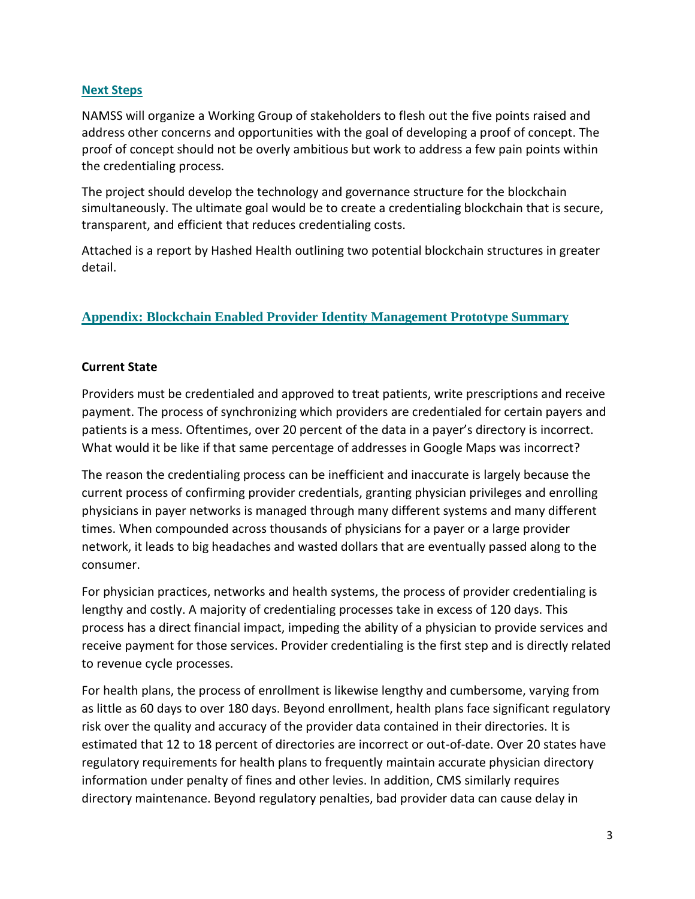## **Next Steps**

NAMSS will organize a Working Group of stakeholders to flesh out the five points raised and address other concerns and opportunities with the goal of developing a proof of concept. The proof of concept should not be overly ambitious but work to address a few pain points within the credentialing process.

The project should develop the technology and governance structure for the blockchain simultaneously. The ultimate goal would be to create a credentialing blockchain that is secure, transparent, and efficient that reduces credentialing costs.

Attached is a report by Hashed Health outlining two potential blockchain structures in greater detail.

## **Appendix: Blockchain Enabled Provider Identity Management Prototype Summary**

#### **Current State**

Providers must be credentialed and approved to treat patients, write prescriptions and receive payment. The process of synchronizing which providers are credentialed for certain payers and patients is a mess. Oftentimes, over 20 percent of the data in a payer's directory is incorrect. What would it be like if that same percentage of addresses in Google Maps was incorrect?

The reason the credentialing process can be inefficient and inaccurate is largely because the current process of confirming provider credentials, granting physician privileges and enrolling physicians in payer networks is managed through many different systems and many different times. When compounded across thousands of physicians for a payer or a large provider network, it leads to big headaches and wasted dollars that are eventually passed along to the consumer.

For physician practices, networks and health systems, the process of provider credentialing is lengthy and costly. A majority of credentialing processes take in excess of 120 days. This process has a direct financial impact, impeding the ability of a physician to provide services and receive payment for those services. Provider credentialing is the first step and is directly related to revenue cycle processes.

For health plans, the process of enrollment is likewise lengthy and cumbersome, varying from as little as 60 days to over 180 days. Beyond enrollment, health plans face significant regulatory risk over the quality and accuracy of the provider data contained in their directories. It is estimated that 12 to 18 percent of directories are incorrect or out-of-date. Over 20 states have regulatory requirements for health plans to frequently maintain accurate physician directory information under penalty of fines and other levies. In addition, CMS similarly requires directory maintenance. Beyond regulatory penalties, bad provider data can cause delay in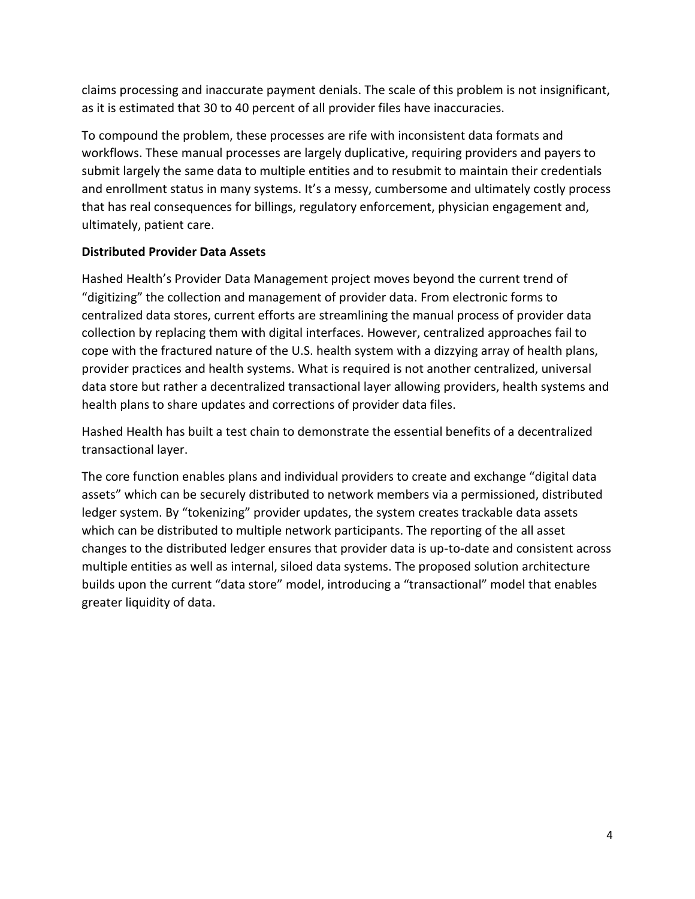claims processing and inaccurate payment denials. The scale of this problem is not insignificant, as it is estimated that 30 to 40 percent of all provider files have inaccuracies.

To compound the problem, these processes are rife with inconsistent data formats and workflows. These manual processes are largely duplicative, requiring providers and payers to submit largely the same data to multiple entities and to resubmit to maintain their credentials and enrollment status in many systems. It's a messy, cumbersome and ultimately costly process that has real consequences for billings, regulatory enforcement, physician engagement and, ultimately, patient care.

## **Distributed Provider Data Assets**

Hashed Health's Provider Data Management project moves beyond the current trend of "digitizing" the collection and management of provider data. From electronic forms to centralized data stores, current efforts are streamlining the manual process of provider data collection by replacing them with digital interfaces. However, centralized approaches fail to cope with the fractured nature of the U.S. health system with a dizzying array of health plans, provider practices and health systems. What is required is not another centralized, universal data store but rather a decentralized transactional layer allowing providers, health systems and health plans to share updates and corrections of provider data files.

Hashed Health has built a test chain to demonstrate the essential benefits of a decentralized transactional layer.

The core function enables plans and individual providers to create and exchange "digital data assets" which can be securely distributed to network members via a permissioned, distributed ledger system. By "tokenizing" provider updates, the system creates trackable data assets which can be distributed to multiple network participants. The reporting of the all asset changes to the distributed ledger ensures that provider data is up-to-date and consistent across multiple entities as well as internal, siloed data systems. The proposed solution architecture builds upon the current "data store" model, introducing a "transactional" model that enables greater liquidity of data.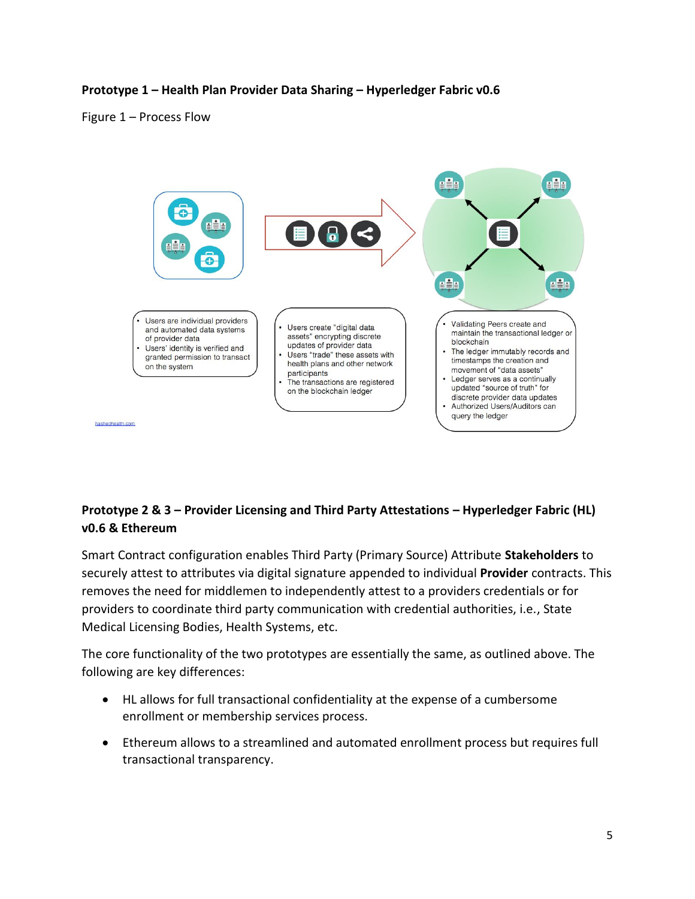## **Prototype 1 – Health Plan Provider Data Sharing – Hyperledger Fabric v0.6**

#### Figure 1 – Process Flow



## **Prototype 2 & 3 – Provider Licensing and Third Party Attestations – Hyperledger Fabric (HL) v0.6 & Ethereum**

Smart Contract configuration enables Third Party (Primary Source) Attribute **Stakeholders** to securely attest to attributes via digital signature appended to individual **Provider** contracts. This removes the need for middlemen to independently attest to a providers credentials or for providers to coordinate third party communication with credential authorities, i.e., State Medical Licensing Bodies, Health Systems, etc.

The core functionality of the two prototypes are essentially the same, as outlined above. The following are key differences:

- HL allows for full transactional confidentiality at the expense of a cumbersome enrollment or membership services process.
- Ethereum allows to a streamlined and automated enrollment process but requires full transactional transparency.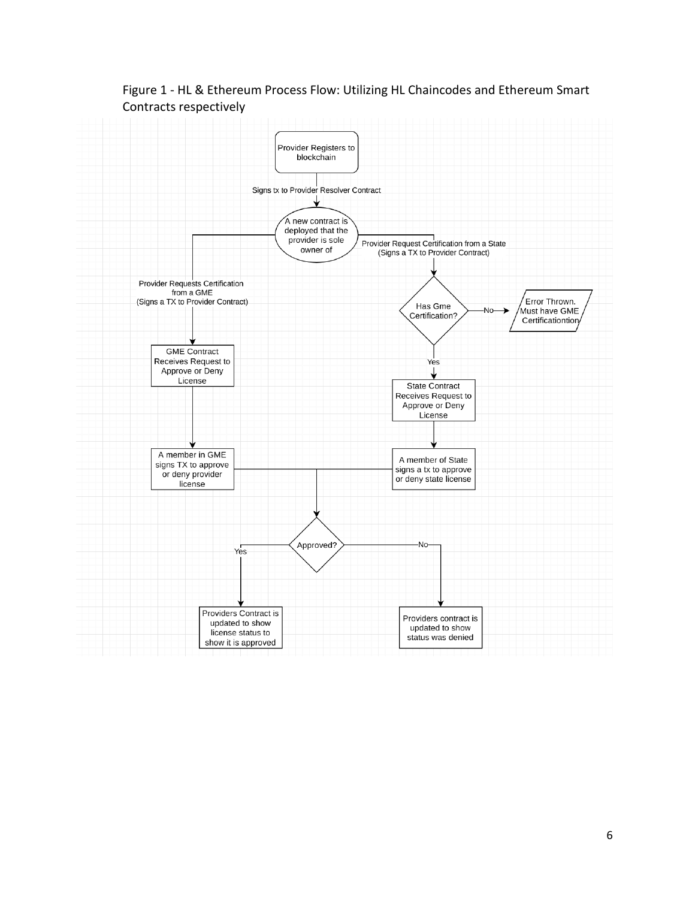

Figure 1 - HL & Ethereum Process Flow: Utilizing HL Chaincodes and Ethereum Smart Contracts respectively